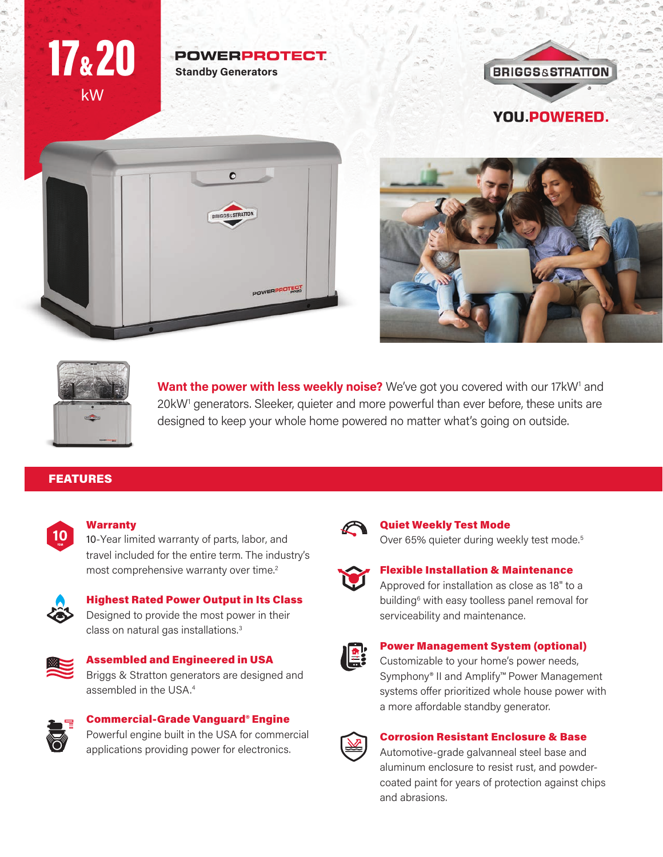## kW 17&20

#### **POWERPROTECT Standby Generators**









Want the power with less weekly noise? We've got you covered with our 17kW<sup>1</sup> and 20kW<sup>1</sup> generators. Sleeker, quieter and more powerful than ever before, these units are designed to keep your whole home powered no matter what's going on outside.

### FEATURES



#### Warranty

10-Year limited warranty of parts, labor, and travel included for the entire term. The industry's most comprehensive warranty over time.<sup>2</sup>



### Highest Rated Power Output in Its Class

Designed to provide the most power in their class on natural gas installations.<sup>3</sup>

#### Assembled and Engineered in USA Briggs & Stratton generators are designed and assembled in the USA.<sup>4</sup>

#### Commercial-Grade Vanguard® Engine Powerful engine built in the USA for commercial applications providing power for electronics.



#### Quiet Weekly Test Mode

Over 65% quieter during weekly test mode.<sup>5</sup>



#### Flexible Installation & Maintenance

Approved for installation as close as 18" to a building<sup>6</sup> with easy toolless panel removal for serviceability and maintenance.



### Power Management System (optional)

Customizable to your home's power needs, Symphony® II and Amplify™ Power Management systems offer prioritized whole house power with a more affordable standby generator.



#### Corrosion Resistant Enclosure & Base

Automotive-grade galvanneal steel base and aluminum enclosure to resist rust, and powdercoated paint for years of protection against chips and abrasions.